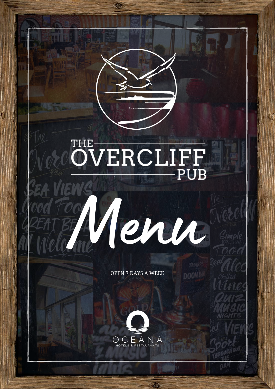## OVERCLIFF PUB

**OPEN 7 DAYS A WEEK** 

Henn

**SHAR** 

**DOON!**